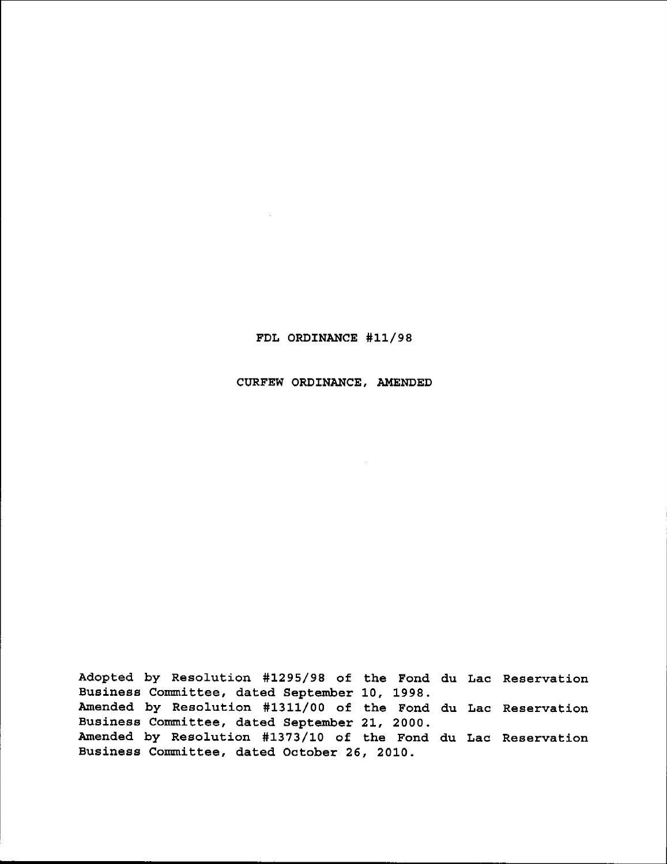#### FDL ORDINANCE #11/98

#### CURFEW ORDINANCE, AMENDED

Adopted by Resolution #1295/98 of the Fond du Lac Reservati Business Committee, dated September 10, 1998. Amended by Resolution #1311/00 of the Fond du Lac Reservati Business Committee, dated September 21, 2000. Amended by Resolution #1373/10 of the Fond du Lac Reservati Business Committee, dated October 26, 2010.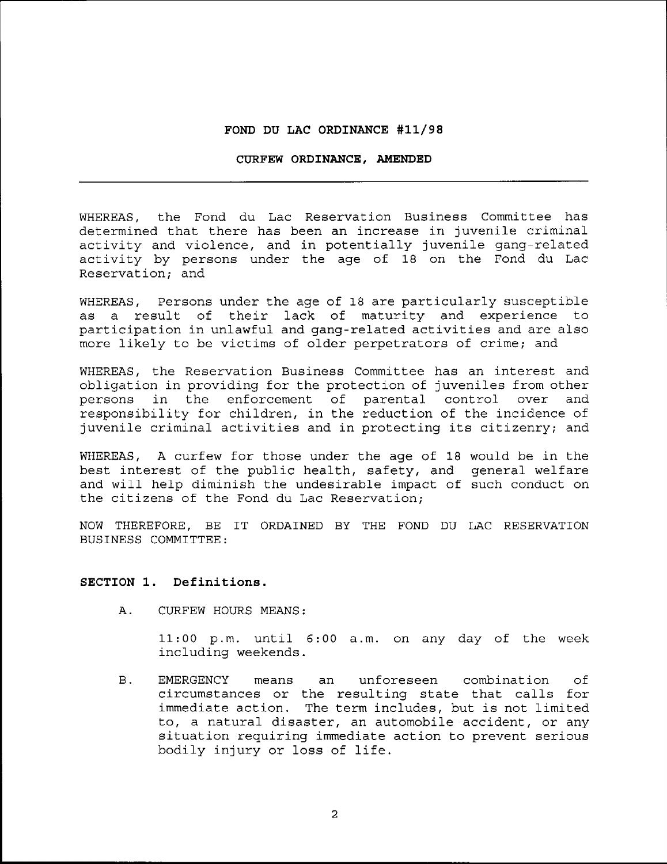#### FOND DU LAC ORDINANCE #11/98

#### CURFEW ORDINANCE, AMENDED

WHEREAS, the Fond du Lac Reservation Business Committee has determined that there has been an increase in juvenile criminalactivity and violence, and in potentially juvenile gang-related activity by persons under the age of 18 on the Fond du Lac Reservation; and

WHEREAS, Persons under the age of 18 are particularly susceptible as a result of their lack of maturity and experience to participation in unlawful and gang-related activities and are also more likely to be victims of older perpetrators of crime; and

WHEREAS, the Reservation Business Committee has an interest and obligation in providing for the protection of juveniles from other persons in the enforcement of parental control over and responsibility for children, in the reduction of the incidence of juvenile criminal activities and in protecting its citizenry; and

WHEREAS, A curfew for those under the age of 18 would be in the best interest of the public health, safety, and general welfare and will help diminish the undesirable impact of such conduct on the citizens of the Fond du Lac Reservation;

NOW THEREFORE, BE IT ORDAINED BY THE FOND DU LAC RESERVATION BUSINESS COMMITTEE:

#### SECTION 1. Definitions.

CURFEW HOURS MEANS; A .

> ll;00 p.m. until 5:00 a.m. on any day of the week including weekends.

B. EMERGENCY means an unforeseen combination of circumstances or the resulting state that calls for immediate action. The term includes, but is not limited to, a natural disaster, an automobile accident, or any situation requiring immediate action to prevent serlous bodily injury or Joss of life.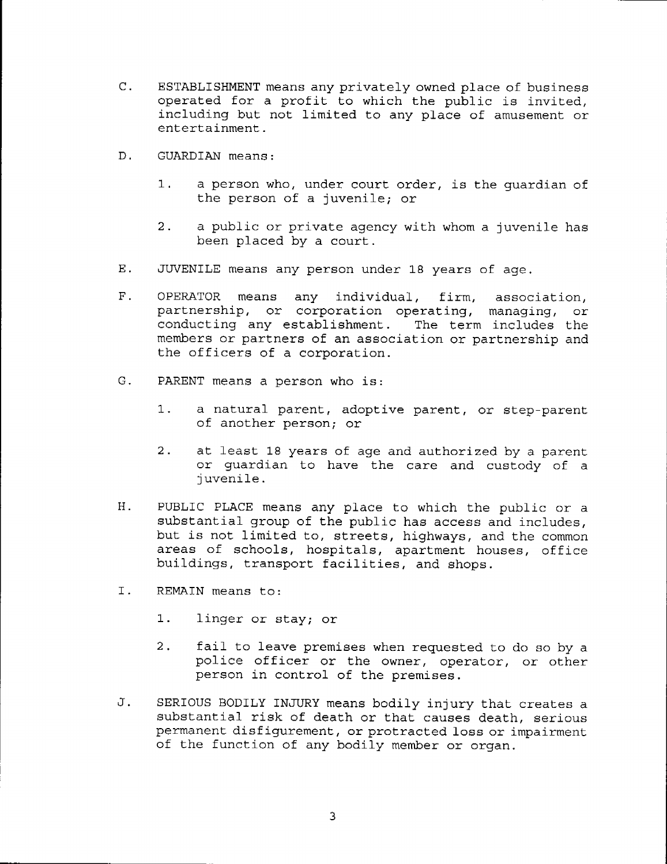- C. ESTABLISHMENT means any privately owned place of business operated for a profit to which the public is invited, including but not limited to any place of amusement or entertainment.
- D. GUARDIAN means:
	- a person who, under court order, is the guardian of the person of a juvenile; or 1 .
	- a public or private agency with whom a juvenile has been placed bv a court.  $2.$
- $E$ . JUVENILE means any person under 18 years of age.
- $F$  . OPERATOR means any individual, firm, association, partnership, or corporation operating, managing, or conducting any establishment. The term includes the members or partners of an association or partnership and the officers of a corporation.
- PARENT means a person who is:  $G$  .
	- a natural parent, adoptive parent, or step-parent  $1.$ of another person; or
	- at Jeast 18 years of age and authorized by a parent  $2$ or guardian to have the care and custody of a i uvenile .
- PUBLIC PLACE means any place to which the public or a substantial group of the public has access and includes, but is not Jimited to, streets, highways, and the common areas of schools, hospitals, apartment houses, office buildings, transport facilities. and shops.  $H<sub>1</sub>$
- Ι. REMAIN means to:
	- 1. linger or stay; or
	- 2. fail to leave premises when requested to do so by a police officer or the owner, operator, or other person in control of the premises.
- SERIOUS BODILY INJURY means bodily injury that creates a substantial risk of death or that causes death, serious permanent disfigurement, or protracted loss or impairment of the function of any bodily member or organ.  $J$ .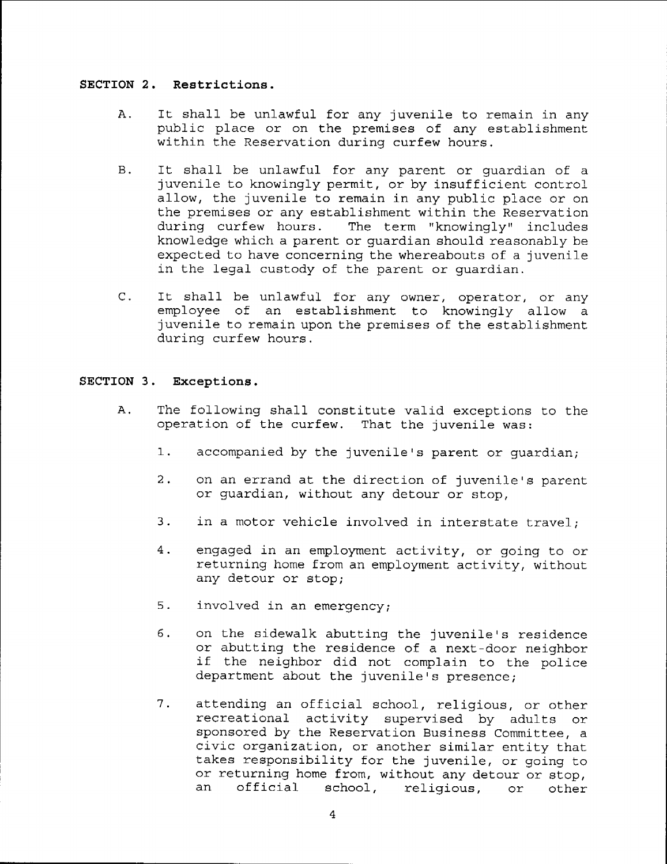#### SECTION 2. Restriction

- It shall be unlawful for any juvenile to remain in any Α. public place or on the premises of any establishment within the Reservation durinq curfew hours.
- **B**. It shall be unlawful for any parent or guardian of a juvenile to knowingly permit, or by insufficient control allow, the juvenile to remain in any public place or on the premises or any establishment within the Reservation during curfew hours. The term "knowingly" includes knowledge which a parent or guardian should reasonably be expected to have concerning the whereabouts of a juvenile in the legal custody of the parent or quardian.
- $C_{-}$ It shall be unlawful for any owner, operator, or any employee of an establishment to knowingly allow a juvenile to remain upon the premises of the establishment during curfew hours.

#### SECTION 3. Exceptions,

- A. The following shall constitute valid exceptions to the operation of the curfew. That the juvenile was:
	- 1. accompanied by the juvenile's parent or quardian;
	- 2. on an errand at the direction of juvenile's parent or guardian, without any detour or stop,
	- 3. in a motor vehicle involved in interstate travel;
	- engaged in an employment activity, or going to or  $4.$ returning home from an employment activity, without any detour or stop;
	- $5.$ involved in an emergency;
	- $6.$ on the sidewalk abutting the juvenile's residence or abutting the residence of a next-door neighbor if the neighbor did not complain to the police department about the juvenile's presence;
	- attending an official school, religious, or other recreational activity supervised by adults or sponsored by the Reservation Business Committee, a civic organization, or another similar entity that takes responsibility for the juvenile, or going to or returning home from, without any detour or stop,<br>an official school, religious, or other school, 7. religious, or other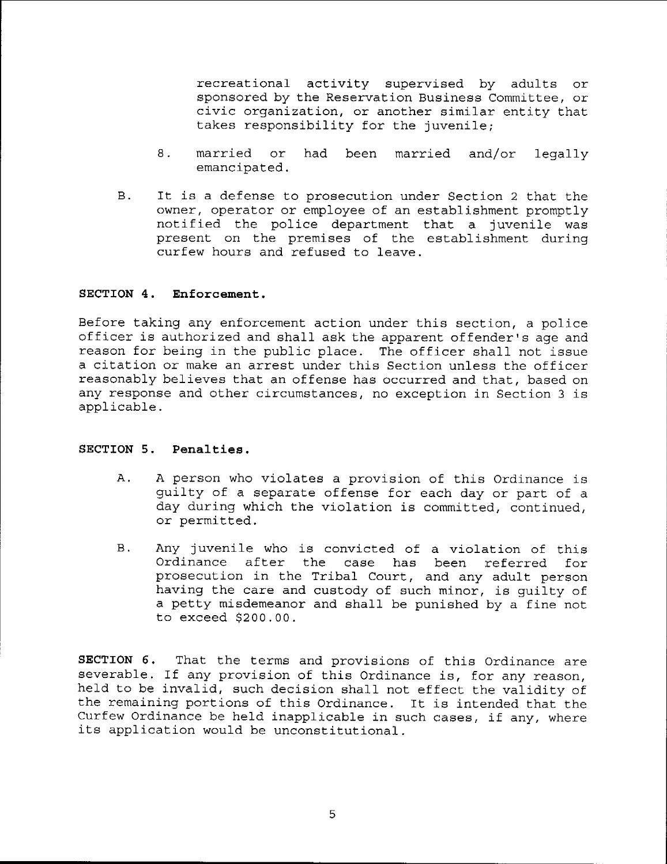recreational activity supervised by adults or sponsored by the Reservation Business Committee, or civic organization, or another similar entity that takes responsibility for the juvenile;

- 8. married or been married and/or 1egally emancipated.
- $B.$ It is a defense to prosecution under Section 2 that the owner, operator or employee of an establishment promptly notified the police department that a juvenile was present on the premises of the establishment during curfew hours and refused to leave.

#### SECTION 4. Enforcement.

Before taking any enforcement action under this section, a police officer is authorized and shall ask the apparent offender's age and reason for being in the public place. The officer shall not issue a citation or make an arrest under this Section unless the officer reasonably believes that an offense has occurred and that, based on any response and other circumstances, no exception in Section 3 is applicable.

#### SECTION 5. Penalties.

- A person who violates a provision of this Ordinance is guilty of a separate offense for each day or part of a day during which the violation is committed, continued, or permitted. A .
- $B.$ Any juvenile who is convicted of a violation of this Ordinance after the case has been referred for prosecution in the Tribal Court, and any adult person having the care and custody of such minor, is guilty of a petty misdemeanor and shall be punished by a fine not to exceed 5200.00.

SECTION 6. That the terms and provisions of this Ordinance are severable. If any provision of this Ordinance is, for any reason, held to be invalid, such decision shall not effect the validity of the remaining portions of this Ordinance. It is intended that the Curfew Ordinance be held inapplicable in such cases, if any, where its application would be unconstitutional.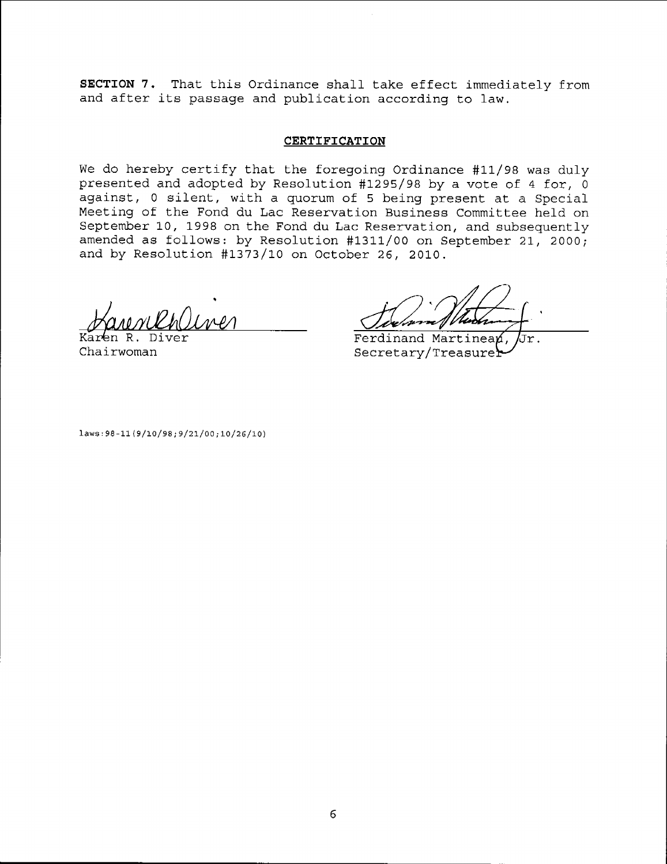SECTION 7. That this Ordinance shall take effect immediately from and after its passage and publication according to law.

#### **CERTIFICATION**

We do hereby certify that the foregoing Ordinance #11/98 was duly presented and adopted by Resolution #1295/98 by a vote of 4 for,  $\overline{0}$ against, 0 silent, with a quorum of 5 being present at a Special Meeting of the Fond du Lac Reservation Business Committee held on September 10, 1998 on the Fond du Lac Reservation, and subsequently amended as follows: by Resolution #1311/00 on September 21, 2000; and by Resolution #1373/10 on October 26, 2010.

Chairwoman

 $Ferdin and$  Martinean, Jr. Secretary/Treasure

 $laws: 98-11 (9/10/98; 9/21/00; 10/26/10)$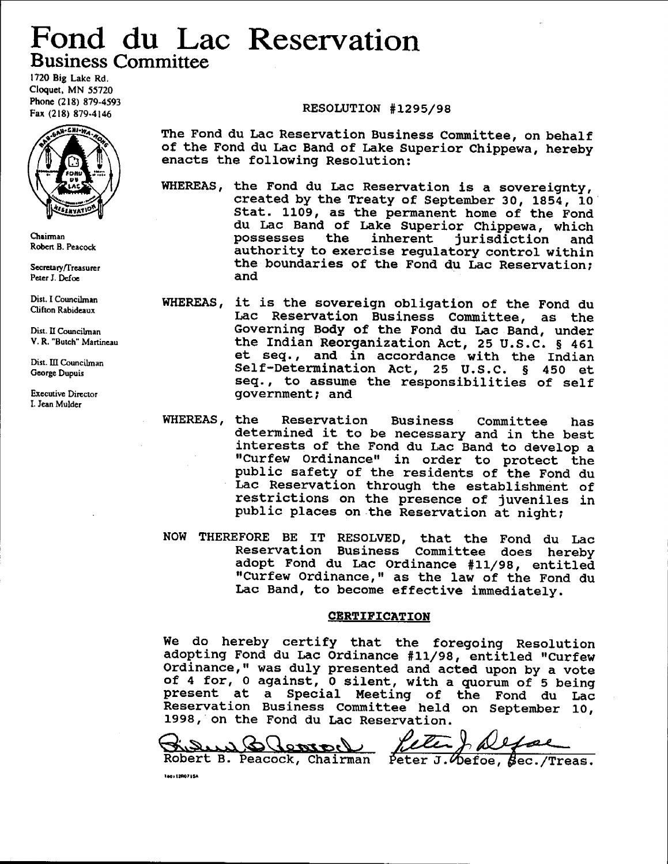## Fond du Lac Reservation Business Committee

l72O Big Lake Rd. Cloquet, MN 55720 Phone (218) 879-4593 Fax (218) 879-4146



Chairman Robert B. Peacock

Secretary/Treasurer Peter J. Defoe

Dist. I Councilman Clifton Rabidcaux

Dist. II Councilman V, R. "Burch" Martincau

Dist. III Councilman George Dupuis

Executive Director L Jean Mulder

RESOLUTION #1295/98

The Fond du Lac Reservation Business Committee, on behalf of the Fond du Lae Band of Lake Superior Chippewa, hereby enacts the following Resolution:

WHEREAS, the Fond du Lac Reservation is a sovereignty, created by the Treaty of Septenber 30, lg54, 1O Stat. 1109, as the permanent home of the Fond du Lac Band of Lake Superior Chippewa, which possesses the inherent jurisdiction and authority to exercise regulatory control within the boundaries of the Fond du Lac Reservation; and

- WHEREAS, it is the sovereign obligation of the Fond du Lac Reservation Business Committee, as the Governing Body of the Fond du Lac Band, under the Indian Reorganization Act, 25 U.S.C. § 461 et seq., and in accordance with the India Self-Determination Act, ZS U,S,C. S 480 et Eeq., to assume the responsibilities of self government; and
- WHEREAS, the Reservation Business Committee has determined it to be necessary and in the best interests of the Fond du Lac Band to develop a "Curfew Ordinance" in order to protect the public safety of the residents of the Fond du Lac Reservation through the establishment of restrictions on the presence of juveniles in public places on the Reservation at night;
- NOW THEREFORE BE IT RESOLVED, that the Fond du Lac Reservation Business Conmittee does hereby adopt Fond du Lac Ordinance #11/98, entitled "Curfew Ordinance," as the law of the Fond du Lac Band, to become effective lmmediately.

#### **CERTIFICATION**

We do hereby certify that the foregoing Resolution we do hereby certify that the foregoing Resolutio<br>adopting Fond du Lac Ordinance #11/98, entitled "Curfe Ordinance," was duly presented and acted upon by a vote of 4 for, 0 against,  $\overline{0}$  silent, with a quorum of 5 being present at a Special Meeting of the Fond du Lac Reservation Business Committee held on September 10, 1998, on the Fond du Lac Reservation.

 $\ell$  ) of  $z$  at  $\alpha$ Robert B. Peacock, Chairman Peter J. Defoe, Sec./Treas.

1ao: 1290715A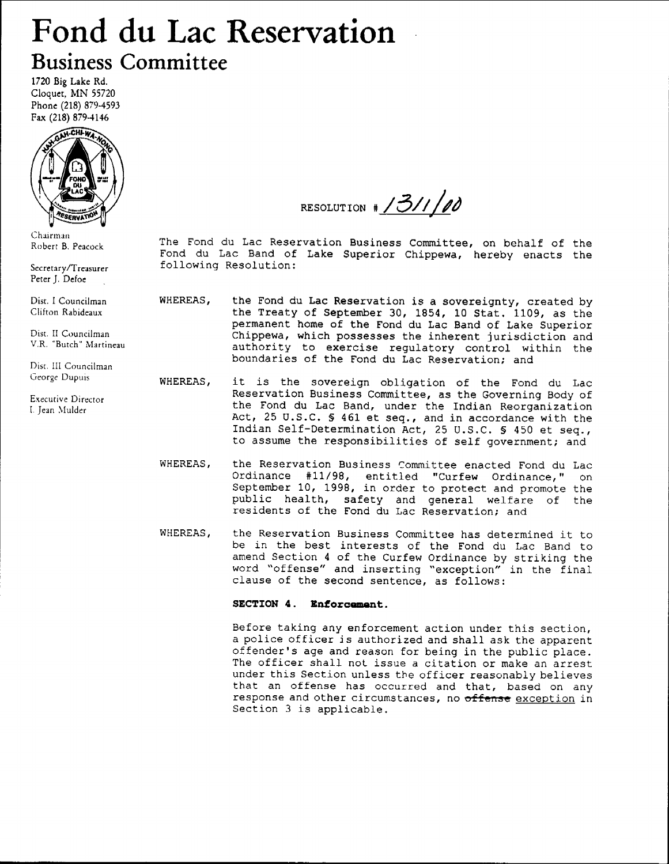# Fond du Lac Reservation Business Committee

1720 Big Lake Rd. Cloquet, MN 55720 Phonc (218) 879-4593 Fax (218) 879-4146



Chairman Robert B. Peacock

Sccretary/Treasurer Peter J. Defoe

Dist. I Councilman Clifton Rabideaux

Dist. II Councilman V.R. "Butch" Martineau

Dist. IIi Councilman George Dupuis

Exccutive Director I. Jean Mulder

RESOLUTION  $\frac{1}{3}$ /1/00

The Fond du Lac Reservation Business Committee, on behalf of the Fond du Lac Band of Lake Superior Chippewa, hereby enacts the following Resolution:

- WHEREAS, the Fond du Lac Reservation is a sovereignty, created by the Treaty of September 30, 1854, 10 Stat. 1109, as the permanent home of the Fond du Lac Band of Lake Superior Chippewa, which possesses the inherent jurisdiction and authority to exercise regulatory control within the boundaries of the Fond du Lac Reservation; and
- WHEREAS, it is the sovereign obligation of the Fond du Lac Reservation Business Committee, as the Governing Body of the Fond du Lac Band, under the Indian Reorganization Act, 25 U.S.C. § 461 et seq., and in accordance with the fndian Self-Determination Act, ZS U.S.C. S 450 et seq., to assume the responsibilities of self government; and
- WHEREAS, the Reservation Business Committee enacted Fond du Lac Ordinance #11/98, entitled "Curfew Ordinance, " on September 10, 1998, in order to protect and promote the public health, safety and general welfare of the residents of the Fond du Lac Reservation; and
- WHEREAS, the Reservation Business Committee has determined it to be in the best interests of the Fond du Lac Band to amend Section 4 of the Curfew Ordinance by striking the word "offense" and inserting "exception" in the fina clause of the second sentence, as follows

#### SECTION 4. Enforcement.

Before taking any enforcement action under this section, a police officer is authorized and shall ask the apparent offender's age and reason for being in the public place. The officer shall not issue a citation or make an arrest under this Section unless the officer reasonably believes that an offense has occurred and that, based on any response and other circumstances, no offense exception in Section 3 is applicable.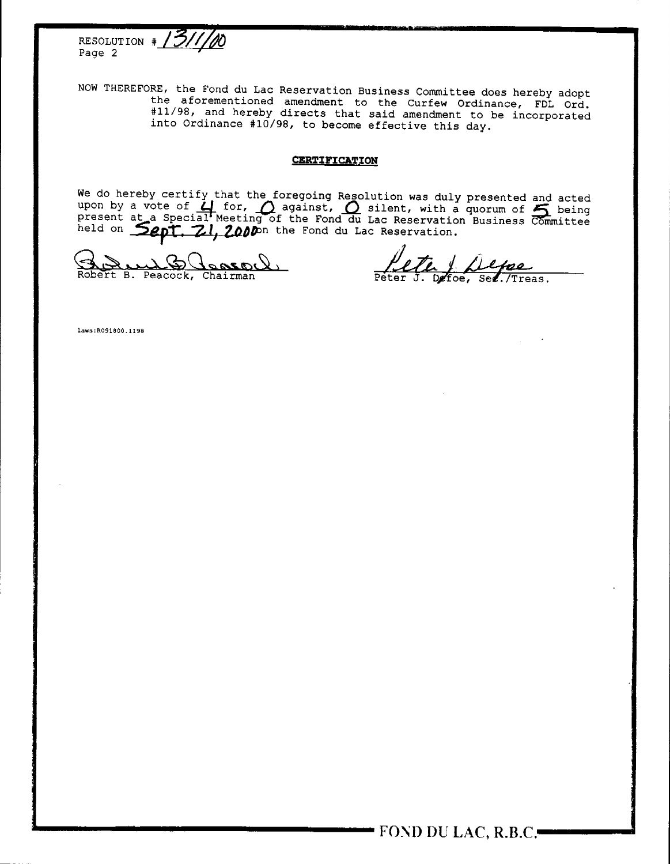

THEREFORE, the Fond du Lac Reservation Business Committee does hereby adopt the aforementioned amendment to the Curfew Ordinance, FDL ord. #11/98, and hereby directs that said amendment to be incorporated into Ordinance #10/98, to become effective this day.

#### **CERTIFICATION**

We do hereby certify that the foregoing Resolution was duly presented and acted<br>upon by a vote of  $\Box$  for,  $\Box$  against,  $\degree$  silent, with a quorum of  $\degree$  being<br>present at a Special Meeting of the Fond du Lac Reservation

Robert B. Peacock, Chairman

 $PeterJ.$ Defoe, See./Treas.

Iaws:R091800.II98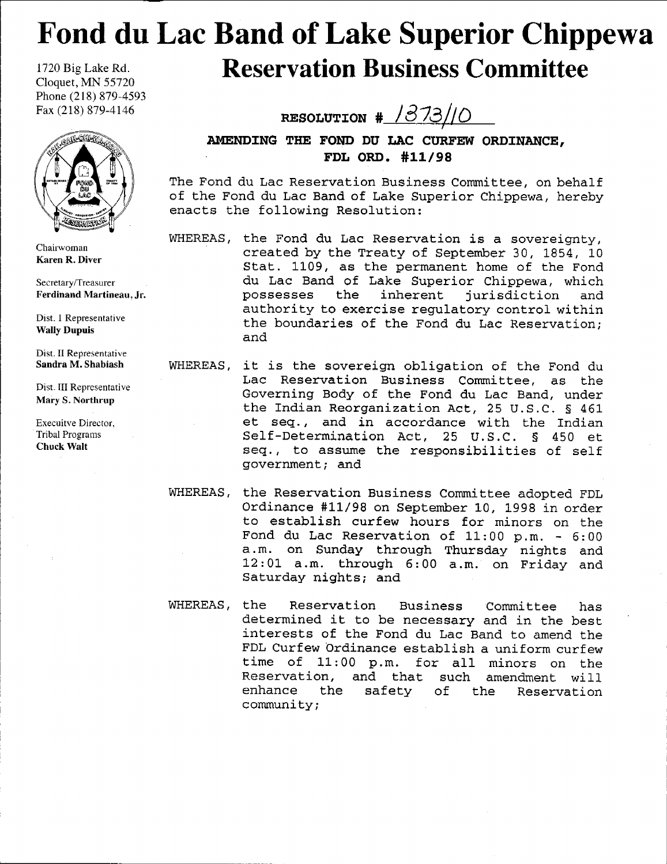## 1720Big Lake Rd. Fond du Lac Band of Lake Superior Chippewa Reservation Business Committee

Cloquet, MN 55720 Phone (218) 879-4593 Fax (218) 879-4146



Chairwoman Karen R, Diver

Secretary/Treasurer Ferdinand Martineau, Jr.

Dist. I Representative Wally Dupuis

Dist. II Representative Sandra M. Shabiash

Dist. III Reprcsentative Mary S. Northrup

Execuitve Director, Tribal Programs Chuck Walt

RESOLUTION  $\frac{1373}{0}$ 

AMENDING THE FOND DU LAC CURFEW ORDINANCE, FDL ORD. #11/98

The Fond du Lac Reservation Business Committee, on behalf of the Fond du Lac Band of Lake Superior Chippewa, hereby enacts the following Resolution:

- WHEREAS, the Fond du Lac Reservation is a sovereignty, created by the Treaty of September 30, 1854, 10 Stat. 1109, as the permanent home of the Fond du Lac Band of Lake Superior Chippewa, which possesses the inherent jurisdiction and authority to exercise regulatory control within the boundaries of the Fond du Lac Reservation; and
- WHEREAS, it is the sovereign obligation of the Fond du Lac Reservation Business Committee, as the Governing Body of the Fond du Lac Band, under the Indian Reorganization Act, 25 U.S.C. S 461 et seq., and in accordance with the Indian Self-Determination Act, 25 U.S.C. § 450 et seq., to assume the responsibilities of self government; and
- WHEREAS, the Reservation Business Committee adopted FDL Ordinance #11/98 on September 10, 1998 in order to establish curfew hours for minors on the Fond du Lac Reservation of  $11:00$  p.m. -  $6:00$ a.m. on Sunday through Thursday nights and 12 : 0L a.m. through 6 : 00 a.m. on Friday and Saturday nights; and
- WHEREAS, the Reservation Business Committee has determined it to be necessary and in the best interests of the Fond du Lac Band to amend the FDL Curfew Ordinance establish a uniform curfew time of 11:00 p.m. for all minors on the<br>Reservation, and that such amendment will that such amendment will enhance the safety of the Reservation community;